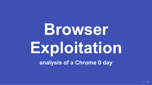# **Browser Exploitation**

**analysis of a Chrome 0 day**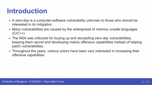# **Introduction**

- A zero-day is a computer-software vulnerability unknown to those who should be interested in its mitigation.
- Many vulnerabilities are caused by the widespread of memory unsafe languages  $(C/C++)$
- The NSA was criticized for buying up and stockpiling zero-day vulnerabilities, keeping them secret and developing mainly offensive capabilities instead of helping patch vulnerabilities.
- Throughout the years, various actors have been very interested in increasing their offensive capabilities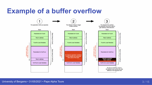#### **Example of a buffer overflow**

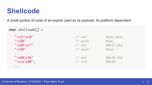#### **Shellcode**

A small portion of code of an exploit used as its payload. Its platform dependent.

```
char shellcode[] =''\x31\times0'' // xor %eax, %eax
  ''\x50'' // push %eax
  ''\xb0\x17" // mov $0x17,%al
  ''\x50'' // push %eax
  ...
  ''\xrightarrow{\star}b0\x3b" \overline{\phantom{0}} // mov \overline{\phantom{0}} $0x3b,%al
  "\xcd\x80"; // int $0x80
  ...
```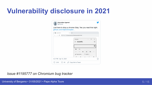# **Vulnerability disclosure in 2021**

|                           | Just here to drop a chrome Oday. Yes you read that right. |                    |
|---------------------------|-----------------------------------------------------------|--------------------|
| github.com/r4j0x00/exploi |                                                           |                    |
| exploit.html              | $\times$                                                  |                    |
| C<br>$\rightarrow$        | <b>①</b> File   C:/Users/Lenovo/Desktop/exploit.html      |                    |
|                           | Calculator                                                | $\Box$<br>$\times$ |
|                           | Scientific<br>$=$                                         | $\Omega$           |
|                           |                                                           |                    |
|                           |                                                           | 0                  |
|                           | <b>DEG</b><br>$F-E$                                       |                    |
|                           | <b>MC</b><br><b>MR</b><br>$M+$<br>$M -$                   | $M^*$<br><b>MS</b> |
|                           | $\Lambda$ Trigonometry $\vee$<br>f Function $\vee$        |                    |
|                           | 2 <sub>nd</sub><br>π<br>$\mathbf{a}$                      | $\sqrt{x}$         |

*Issue #1195777 on Chromium bug tracker*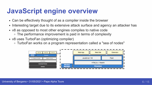#### **JavaScript engine overview**

- Can be effectively thought of as a compiler inside the browser
- Interesting target due to its extensive attack surface and agency an attacker has
- v8 as opposed to most other engines compiles to native code
	- The performance improvement is paid in terms of complexity
- v8 uses TurboFan (optimizing compiler)
	- TurboFan works on a program representation called a "sea of nodes"

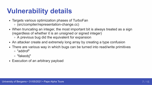### **Vulnerability details**

- Targets various optimization phases of TurboFan
	- (src/compiler/representation-change.cc)
- When truncating an integer, the most important bit is always treated as a sign (regardless of whether it is an unsigned or signed integer)
	- A previous bug did the equivalent for expansion
- An attacker create and extremely long array by creating a type confusion
- There are various way in which bugs can be turned into read/write primitives "addrof"
	- "fakeobj"
- Execution of an arbitrary payload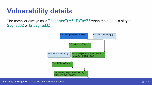### **Vulnerability details**

The compiler always calls TruncateInt64ToInt32 when the output is of type Signed32 or Unsigned32



University of Bergamo • 31/05/2021 • Pape Alpha Toure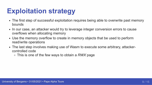# **Exploitation strategy**

- The first step of successful exploitation requires being able to overwrite past memory bounds
- In our case, an attacker would try to leverage integer conversion errors to cause overflows when allocating memory
- Use the memory overflow to create in memory objects that be used to perform read/write operations
- The last step involves making use of Wasm to execute some arbitrary, attackercontrolled code
	- This is one of the few ways to obtain a *RWX* page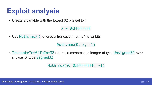#### **Exploit analysis**

Create a variable with the lowest 32 bits set to 1

 $x = 0x$ FFFFFFFFF

• Use Math.max () to force a truncation from 64 to 32 bits

Math.max $(0, x, -1)$ 

TruncateInt64ToInt32 returns a compressed integer of type Unsigned32 **even** if it was of type Signed32

Math.max(0, 0xFFFFFFFF, -1)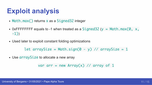## **Exploit analysis**

- Math.max() returns x as a Signed32 integer
- OxFFFFFFFFF equals to -1 when treated as a  $Sigma(0 \leq x \leq x)$  = Math.max(0, x, -1))
- Used later to exploit constant folding optimizations

let arraySize = Math.sign( $0 - y$ ) // arraySize = 1

• Use array Size to allocate a new array

var arr = new  $Array(x)$  // array of 1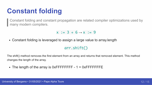# **Constant folding**

Constant folding and constant propagation are related compiler optimizations used by many modern compilers.

 $x := 3 + 6 \rightarrow x := 9$ 

Constant folding is leveraged to assign a large value to array.length

#### arr.shift()

The shift() method removes the first element from an array and returns that removed element. This method changes the length of the array.

• The length of the array is  $0x$ FFFFFFFF - 1 =  $0x$ FFFFFFFFE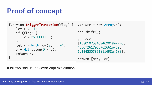# **Proof of concept**

```
function triggerTruncation(flag) { var arr = new Array(x);
   let x = -1;
   if (flag) {
       x = 0xFFFFFFFF;
    }
    let y = Math.max(0, x, -1)x = Math.sizeon(0 - y);return x;
}
```

```
arr.shift();
```

```
var cor =
[1.8010758439469018e-226,
4.6672617056762661e-62,
1.1945305861211498e+103];
```
return [arr, cor];

It follows "the usual" JavaScript exploitation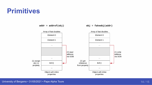#### **Primitives**

 $addr = addrof(obj)$ 





University of Bergamo • 31/05/2021 • Pape Alpha Toure